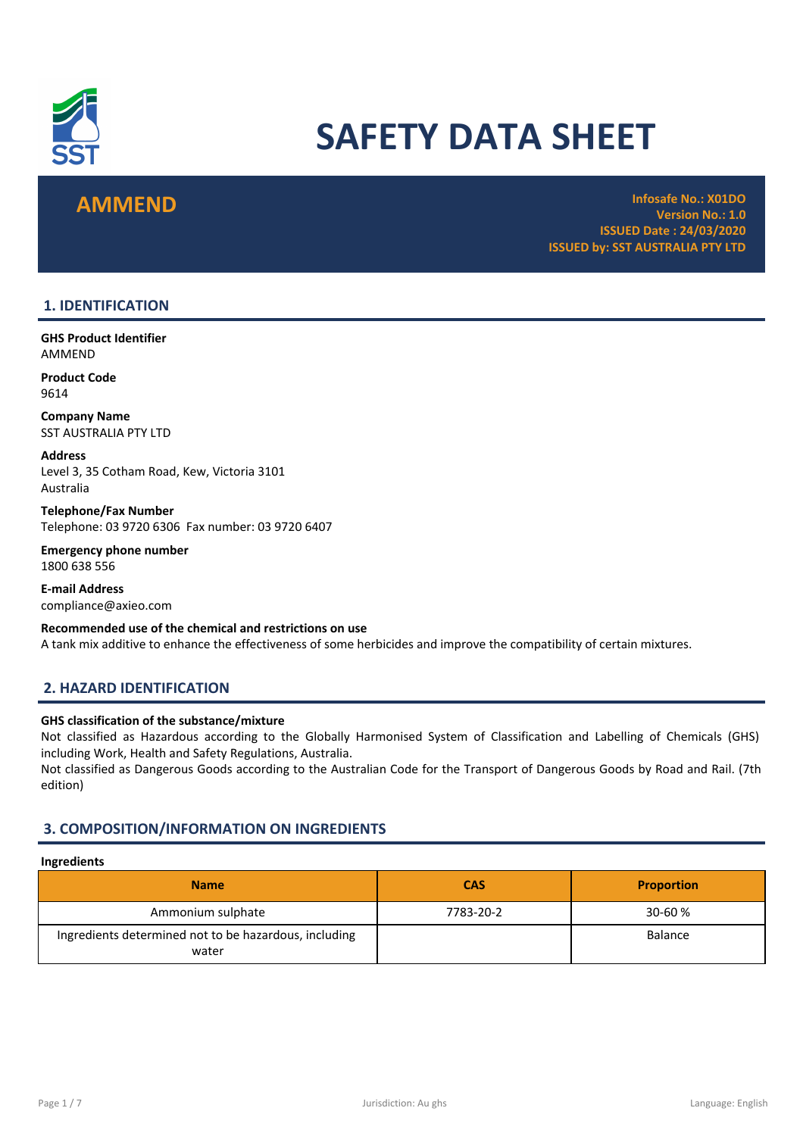

# SAFETY DATA SHEET

**AMMEND Infosafe No.: X01DO** Version No.: 1.0 ISSUED Date : 24/03/2020 ISSUED by: SST AUSTRALIA PTY LTD

# 1. IDENTIFICATION

GHS Product Identifier AMMEND

Product Code 9614

Company Name SST AUSTRALIA PTY LTD

Address Level 3, 35 Cotham Road, Kew, Victoria 3101 Australia

Telephone/Fax Number Telephone: 03 9720 6306 Fax number: 03 9720 6407

Emergency phone number 1800 638 556

E-mail Address compliance@axieo.com

Recommended use of the chemical and restrictions on use A tank mix additive to enhance the effectiveness of some herbicides and improve the compatibility of certain mixtures.

# 2. HAZARD IDENTIFICATION

# GHS classification of the substance/mixture

Not classified as Hazardous according to the Globally Harmonised System of Classification and Labelling of Chemicals (GHS) including Work, Health and Safety Regulations, Australia.

Not classified as Dangerous Goods according to the Australian Code for the Transport of Dangerous Goods by Road and Rail. (7th edition)

# 3. COMPOSITION/INFORMATION ON INGREDIENTS

# Ingredients

| <b>Name</b>                                                    | <b>CAS</b> | <b>Proportion</b> |
|----------------------------------------------------------------|------------|-------------------|
| Ammonium sulphate                                              | 7783-20-2  | 30-60 %           |
| Ingredients determined not to be hazardous, including<br>water |            | Balance           |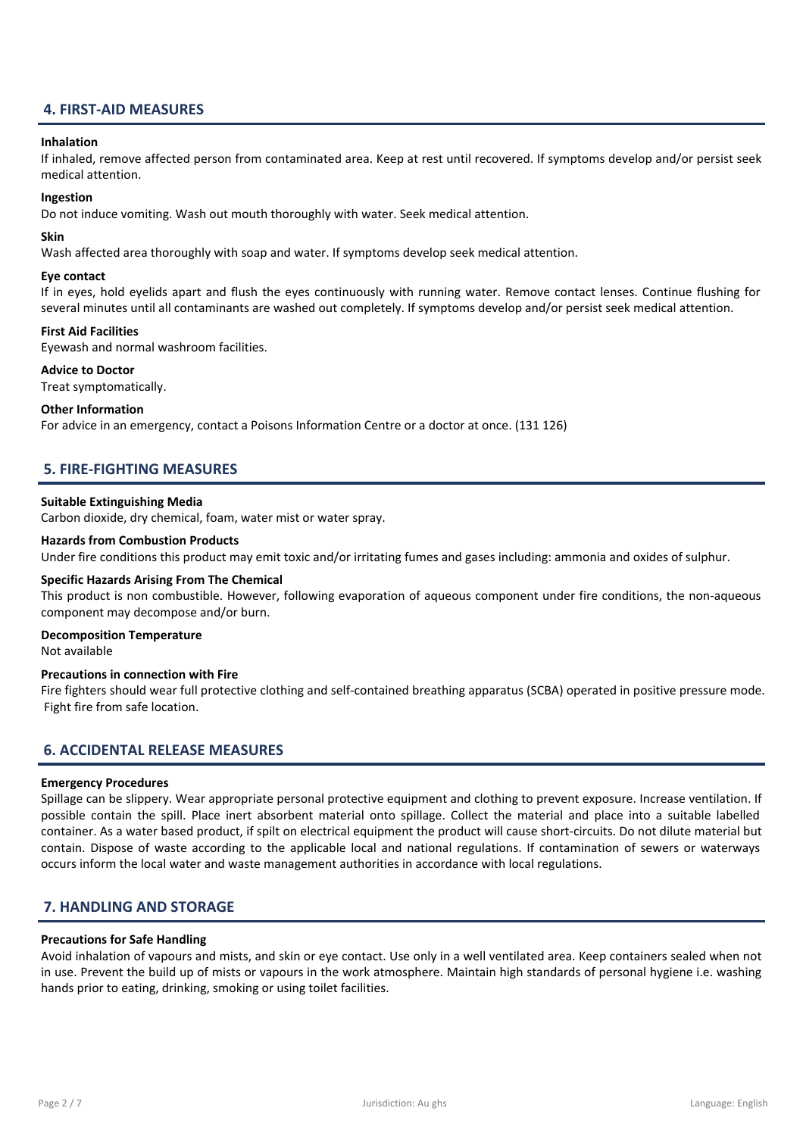# 4. FIRST-AID MEASURES

#### Inhalation

If inhaled, remove affected person from contaminated area. Keep at rest until recovered. If symptoms develop and/or persist seek medical attention.

### Ingestion

Do not induce vomiting. Wash out mouth thoroughly with water. Seek medical attention.

### Skin

Wash affected area thoroughly with soap and water. If symptoms develop seek medical attention.

### Eye contact

If in eyes, hold eyelids apart and flush the eyes continuously with running water. Remove contact lenses. Continue flushing for several minutes until all contaminants are washed out completely. If symptoms develop and/or persist seek medical attention.

# First Aid Facilities

Eyewash and normal washroom facilities.

#### Advice to Doctor

Treat symptomatically.

### Other Information

For advice in an emergency, contact a Poisons Information Centre or a doctor at once. (131 126)

# 5. FIRE-FIGHTING MEASURES

### Suitable Extinguishing Media

Carbon dioxide, dry chemical, foam, water mist or water spray.

#### Hazards from Combustion Products

Under fire conditions this product may emit toxic and/or irritating fumes and gases including: ammonia and oxides of sulphur.

#### Specific Hazards Arising From The Chemical

This product is non combustible. However, following evaporation of aqueous component under fire conditions, the non-aqueous component may decompose and/or burn.

#### Decomposition Temperature

Not available

#### Precautions in connection with Fire

Fire fighters should wear full protective clothing and self-contained breathing apparatus (SCBA) operated in positive pressure mode. Fight fire from safe location.

# 6. ACCIDENTAL RELEASE MEASURES

#### Emergency Procedures

Spillage can be slippery. Wear appropriate personal protective equipment and clothing to prevent exposure. Increase ventilation. If possible contain the spill. Place inert absorbent material onto spillage. Collect the material and place into a suitable labelled container. As a water based product, if spilt on electrical equipment the product will cause short-circuits. Do not dilute material but contain. Dispose of waste according to the applicable local and national regulations. If contamination of sewers or waterways occurs inform the local water and waste management authorities in accordance with local regulations.

# 7. HANDLING AND STORAGE

#### Precautions for Safe Handling

Avoid inhalation of vapours and mists, and skin or eye contact. Use only in a well ventilated area. Keep containers sealed when not in use. Prevent the build up of mists or vapours in the work atmosphere. Maintain high standards of personal hygiene i.e. washing hands prior to eating, drinking, smoking or using toilet facilities.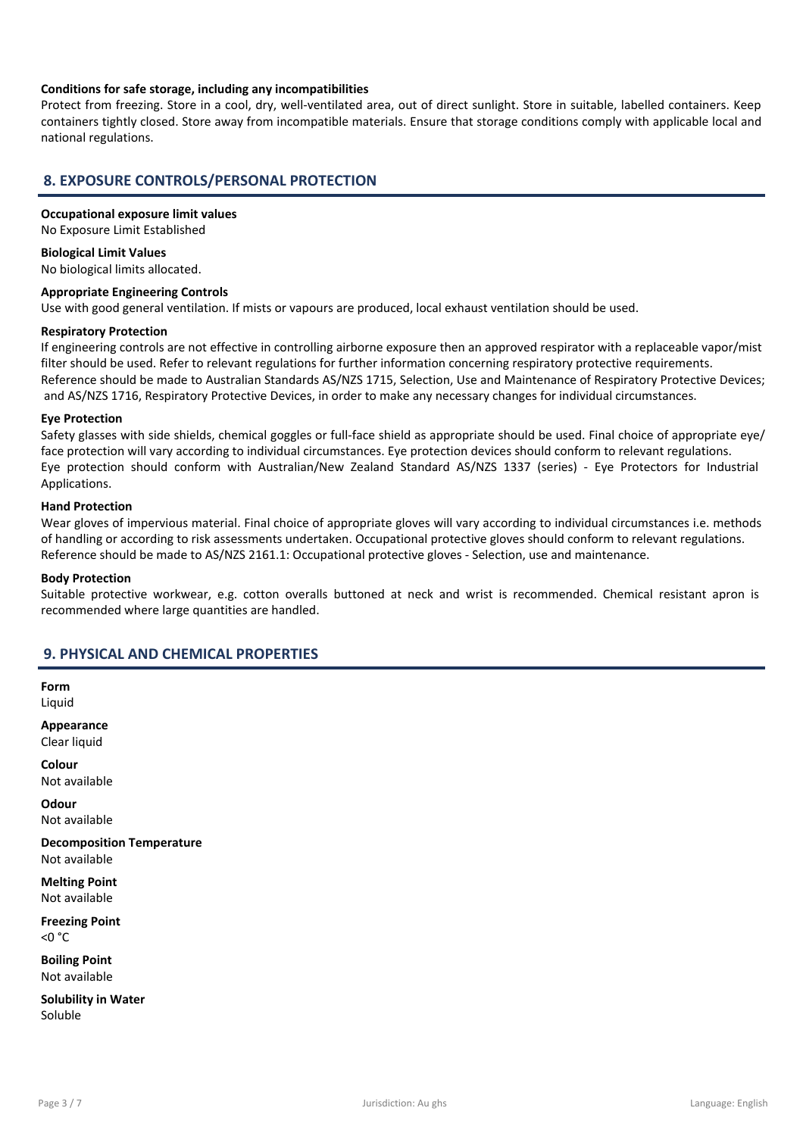# Conditions for safe storage, including any incompatibilities

Protect from freezing. Store in a cool, dry, well-ventilated area, out of direct sunlight. Store in suitable, labelled containers. Keep containers tightly closed. Store away from incompatible materials. Ensure that storage conditions comply with applicable local and national regulations.

# 8. EXPOSURE CONTROLS/PERSONAL PROTECTION

### Occupational exposure limit values

No Exposure Limit Established

Biological Limit Values No biological limits allocated.

### Appropriate Engineering Controls

Use with good general ventilation. If mists or vapours are produced, local exhaust ventilation should be used.

#### Respiratory Protection

If engineering controls are not effective in controlling airborne exposure then an approved respirator with a replaceable vapor/mist filter should be used. Refer to relevant regulations for further information concerning respiratory protective requirements. Reference should be made to Australian Standards AS/NZS 1715, Selection, Use and Maintenance of Respiratory Protective Devices; and AS/NZS 1716, Respiratory Protective Devices, in order to make any necessary changes for individual circumstances.

#### Eye Protection

Safety glasses with side shields, chemical goggles or full-face shield as appropriate should be used. Final choice of appropriate eye/ face protection will vary according to individual circumstances. Eye protection devices should conform to relevant regulations. Eye protection should conform with Australian/New Zealand Standard AS/NZS 1337 (series) - Eye Protectors for Industrial Applications.

#### Hand Protection

Wear gloves of impervious material. Final choice of appropriate gloves will vary according to individual circumstances i.e. methods of handling or according to risk assessments undertaken. Occupational protective gloves should conform to relevant regulations. Reference should be made to AS/NZS 2161.1: Occupational protective gloves - Selection, use and maintenance.

#### Body Protection

Suitable protective workwear, e.g. cotton overalls buttoned at neck and wrist is recommended. Chemical resistant apron is recommended where large quantities are handled.

# 9. PHYSICAL AND CHEMICAL PROPERTIES

Form Liquid

Appearance Clear liquid

Colour Not available

**Odour** Not available

Decomposition Temperature Not available

Melting Point Not available

Freezing Point  $<$  0  $^{\circ}$  C

Boiling Point Not available

Solubility in Water Soluble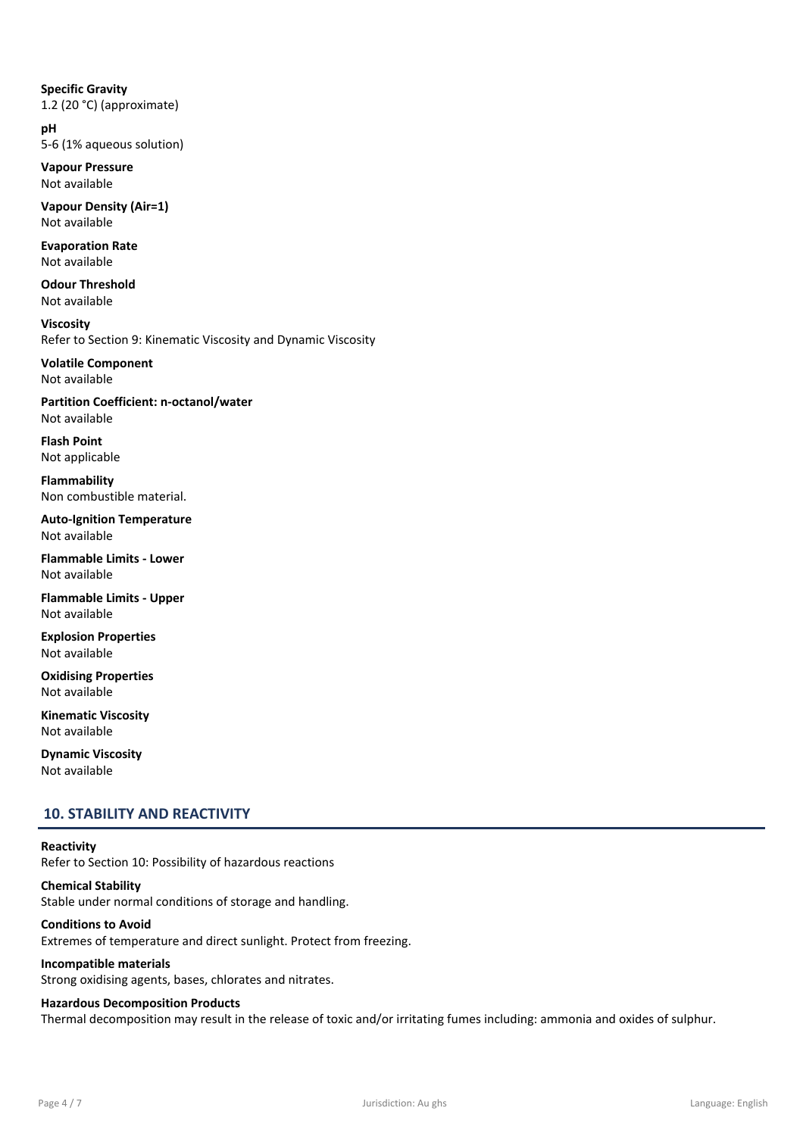Specific Gravity 1.2 (20 °C) (approximate)

pH 5-6 (1% aqueous solution)

Vapour Pressure Not available

Vapour Density (Air=1) Not available

Evaporation Rate Not available

Odour Threshold Not available

Viscosity Refer to Section 9: Kinematic Viscosity and Dynamic Viscosity

Volatile Component Not available

Partition Coefficient: n-octanol/water Not available

Flash Point Not applicable

Flammability Non combustible material.

Auto-Ignition Temperature Not available

Flammable Limits - Lower Not available

Flammable Limits - Upper Not available

Explosion Properties Not available

Oxidising Properties Not available

Kinematic Viscosity Not available

Dynamic Viscosity Not available

# 10. STABILITY AND REACTIVITY

# **Reactivity**

Refer to Section 10: Possibility of hazardous reactions

Chemical Stability Stable under normal conditions of storage and handling.

# Conditions to Avoid

Extremes of temperature and direct sunlight. Protect from freezing.

# Incompatible materials

Strong oxidising agents, bases, chlorates and nitrates.

# Hazardous Decomposition Products

Thermal decomposition may result in the release of toxic and/or irritating fumes including: ammonia and oxides of sulphur.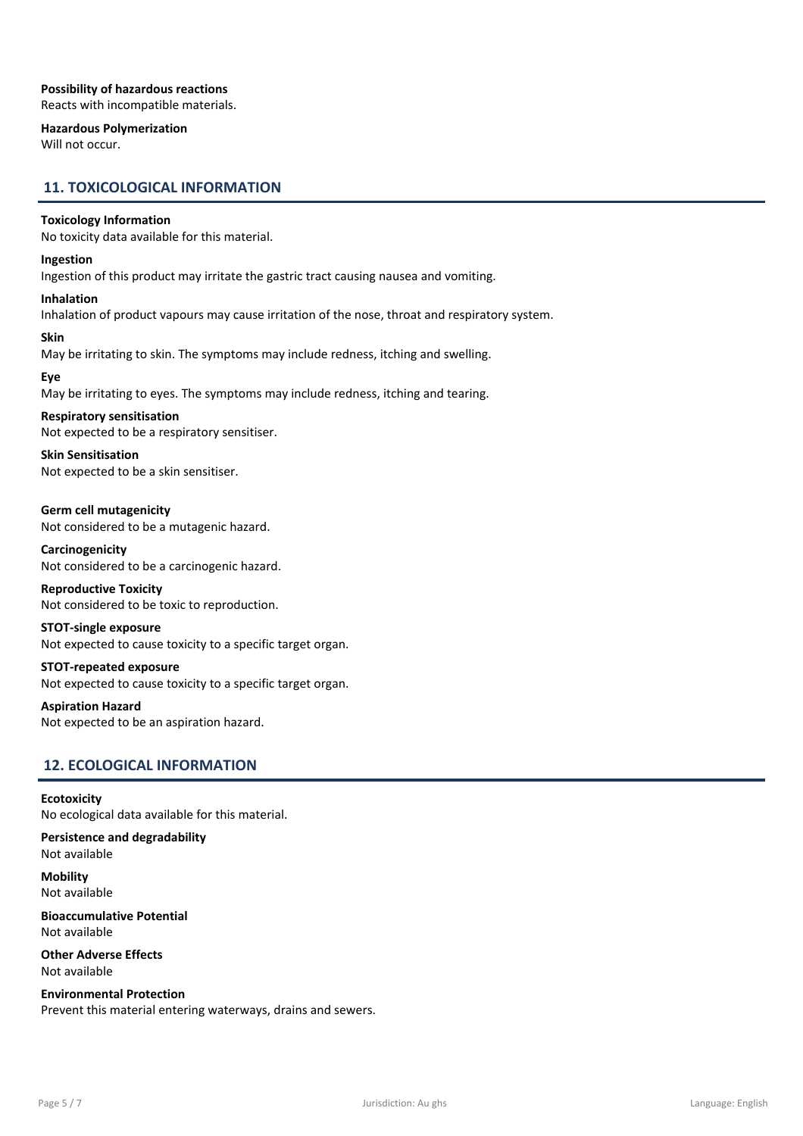# Possibility of hazardous reactions

Reacts with incompatible materials.

# Hazardous Polymerization

Will not occur.

# 11. TOXICOLOGICAL INFORMATION

# Toxicology Information

No toxicity data available for this material.

# Ingestion

Ingestion of this product may irritate the gastric tract causing nausea and vomiting.

# Inhalation

Inhalation of product vapours may cause irritation of the nose, throat and respiratory system.

#### Skin

May be irritating to skin. The symptoms may include redness, itching and swelling.

# Eye

May be irritating to eyes. The symptoms may include redness, itching and tearing.

# Respiratory sensitisation

Not expected to be a respiratory sensitiser.

Skin Sensitisation Not expected to be a skin sensitiser.

Germ cell mutagenicity Not considered to be a mutagenic hazard.

Carcinogenicity Not considered to be a carcinogenic hazard.

Reproductive Toxicity Not considered to be toxic to reproduction.

# STOT-single exposure

Not expected to cause toxicity to a specific target organ.

# STOT-repeated exposure Not expected to cause toxicity to a specific target organ.

Aspiration Hazard

Not expected to be an aspiration hazard.

# 12. ECOLOGICAL INFORMATION

# **Ecotoxicity**

No ecological data available for this material.

Persistence and degradability Not available

**Mobility** Not available

Bioaccumulative Potential Not available

Other Adverse Effects Not available

Environmental Protection Prevent this material entering waterways, drains and sewers.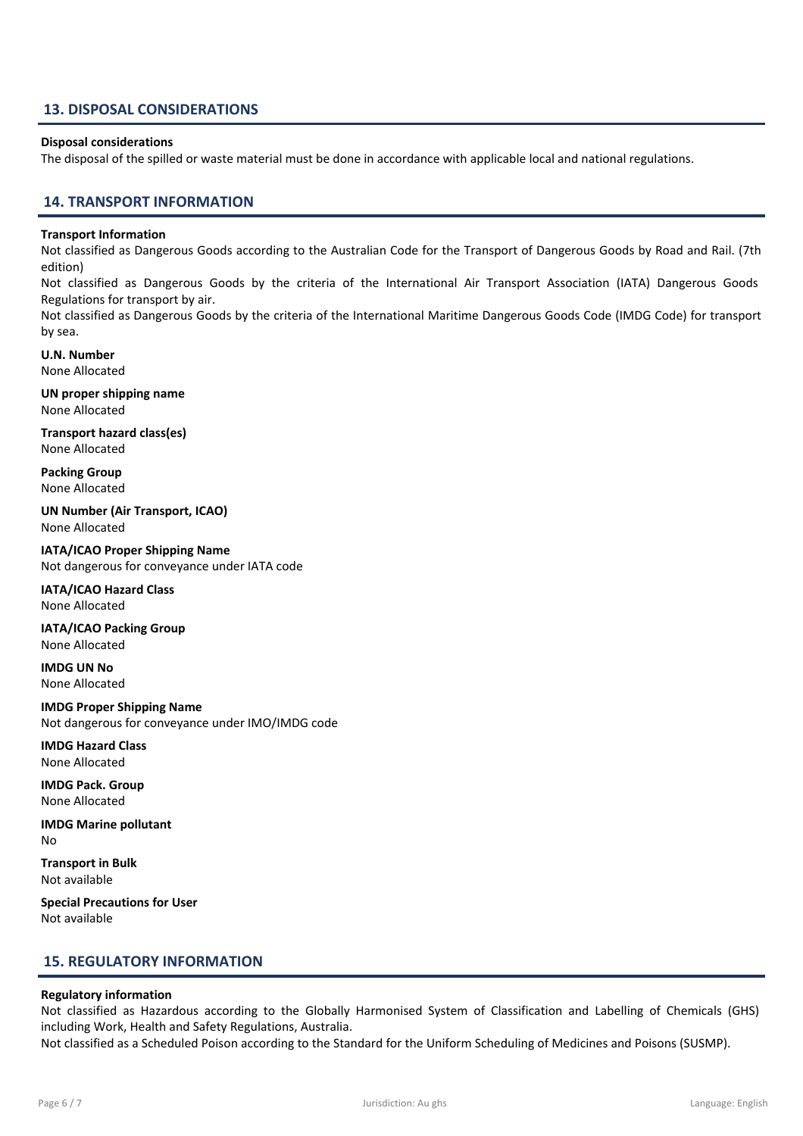# 13. DISPOSAL CONSIDERATIONS

### Disposal considerations

The disposal of the spilled or waste material must be done in accordance with applicable local and national regulations.

# 14. TRANSPORT INFORMATION

#### Transport Information

Not classified as Dangerous Goods according to the Australian Code for the Transport of Dangerous Goods by Road and Rail. (7th edition)

Not classified as Dangerous Goods by the criteria of the International Air Transport Association (IATA) Dangerous Goods Regulations for transport by air.

Not classified as Dangerous Goods by the criteria of the International Maritime Dangerous Goods Code (IMDG Code) for transport by sea.

U.N. Number None Allocated

UN proper shipping name None Allocated

Transport hazard class(es) None Allocated

Packing Group None Allocated

UN Number (Air Transport, ICAO) None Allocated

IATA/ICAO Proper Shipping Name Not dangerous for conveyance under IATA code

IATA/ICAO Hazard Class None Allocated

IATA/ICAO Packing Group None Allocated

IMDG UN No None Allocated

IMDG Proper Shipping Name Not dangerous for conveyance under IMO/IMDG code

IMDG Hazard Class None Allocated

IMDG Pack. Group None Allocated

IMDG Marine pollutant No

Transport in Bulk Not available

Special Precautions for User Not available

# 15. REGULATORY INFORMATION

# Regulatory information

Not classified as Hazardous according to the Globally Harmonised System of Classification and Labelling of Chemicals (GHS) including Work, Health and Safety Regulations, Australia.

Not classified as a Scheduled Poison according to the Standard for the Uniform Scheduling of Medicines and Poisons (SUSMP).